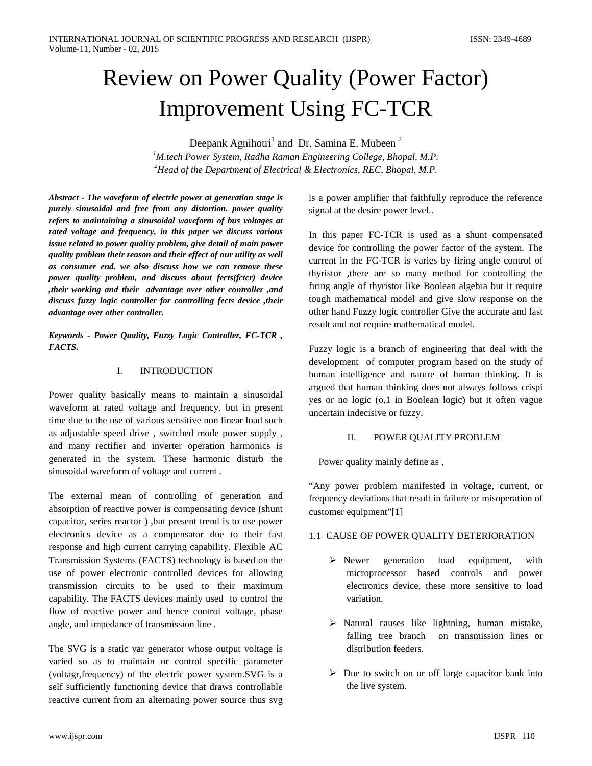# Review on Power Quality (Power Factor) Improvement Using FC-TCR

Deepank Agnihotri<sup>1</sup> and Dr. Samina E. Mubeen<sup>2</sup> *1 M.tech Power System, Radha Raman Engineering College, Bhopal, M.P. 2 Head of the Department of Electrical & Electronics, REC, Bhopal, M.P.*

*Abstract - The waveform of electric power at generation stage is purely sinusoidal and free from any distortion. power quality refers to maintaining a sinusoidal waveform of bus voltages at rated voltage and frequency, in this paper we discuss various issue related to power quality problem, give detail of main power quality problem their reason and their effect of our utility as well as consumer end. we also discuss how we can remove these power quality problem, and discuss about fects(fctcr) device ,their working and their advantage over other controller ,and discuss fuzzy logic controller for controlling fects device ,their advantage over other controller.*

*Keywords - Power Quality, Fuzzy Logic Controller, FC-TCR , FACTS.*

## I. INTRODUCTION

Power quality basically means to maintain a sinusoidal waveform at rated voltage and frequency. but in present time due to the use of various sensitive non linear load such as adjustable speed drive , switched mode power supply , and many rectifier and inverter operation harmonics is generated in the system. These harmonic disturb the sinusoidal waveform of voltage and current .

The external mean of controlling of generation and absorption of reactive power is compensating device (shunt capacitor, series reactor ) ,but present trend is to use power electronics device as a compensator due to their fast response and high current carrying capability. Flexible AC Transmission Systems (FACTS) technology is based on the use of power electronic controlled devices for allowing transmission circuits to be used to their maximum capability. The FACTS devices mainly used to control the flow of reactive power and hence control voltage, phase angle, and impedance of transmission line .

The SVG is a static var generator whose output voltage is varied so as to maintain or control specific parameter (voltagr,frequency) of the electric power system.SVG is a self sufficiently functioning device that draws controllable reactive current from an alternating power source thus svg is a power amplifier that faithfully reproduce the reference signal at the desire power level..

In this paper FC-TCR is used as a shunt compensated device for controlling the power factor of the system. The current in the FC-TCR is varies by firing angle control of thyristor ,there are so many method for controlling the firing angle of thyristor like Boolean algebra but it require tough mathematical model and give slow response on the other hand Fuzzy logic controller Give the accurate and fast result and not require mathematical model.

Fuzzy logic is a branch of engineering that deal with the development of computer program based on the study of human intelligence and nature of human thinking. It is argued that human thinking does not always follows crispi yes or no logic (o,1 in Boolean logic) but it often vague uncertain indecisive or fuzzy.

## II. POWER QUALITY PROBLEM

Power quality mainly define as ,

"Any power problem manifested in voltage, current, or frequency deviations that result in failure or misoperation of customer equipment"[1]

## 1.1 CAUSE OF POWER QUALITY DETERIORATION

- $\triangleright$  Newer generation load equipment, with microprocessor based controls and power electronics device, these more sensitive to load variation.
- $\triangleright$  Natural causes like lightning, human mistake, falling tree branch on transmission lines or distribution feeders.
- $\triangleright$  Due to switch on or off large capacitor bank into the live system.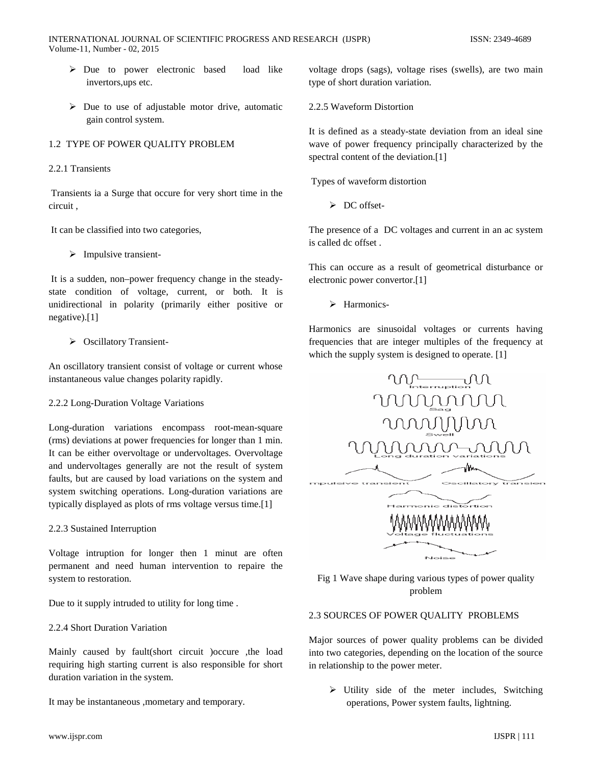INTERNATIONAL JOURNAL OF SCIENTIFIC PROGRESS AND RESEARCH (IJSPR) ISSN: 2349-4689 Volume-11, Number - 02, 2015

- Due to power electronic based load like invertors,ups etc.
- $\triangleright$  Due to use of adjustable motor drive, automatic gain control system.

## 1.2 TYPE OF POWER QUALITY PROBLEM

## 2.2.1 Transients

Transients ia a Surge that occure for very short time in the circuit ,

It can be classified into two categories,

 $\triangleright$  Impulsive transient-

It is a sudden, non–power frequency change in the steadystate condition of voltage, current, or both. It is unidirectional in polarity (primarily either positive or negative).[1]

## ▶ Oscillatory Transient-

An oscillatory transient consist of voltage or current whose instantaneous value changes polarity rapidly.

2.2.2 Long-Duration Voltage Variations

Long-duration variations encompass root-mean-square (rms) deviations at power frequencies for longer than 1 min. It can be either overvoltage or undervoltages. Overvoltage and undervoltages generally are not the result of system faults, but are caused by load variations on the system and system switching operations. Long-duration variations are typically displayed as plots of rms voltage versus time.[1]

## 2.2.3 Sustained Interruption

Voltage intruption for longer then 1 minut are often permanent and need human intervention to repaire the system to restoration.

Due to it supply intruded to utility for long time .

2.2.4 Short Duration Variation

Mainly caused by fault(short circuit )occure ,the load requiring high starting current is also responsible for short duration variation in the system.

It may be instantaneous ,mometary and temporary.

voltage drops (sags), voltage rises (swells), are two main type of short duration variation.

2.2.5 Waveform Distortion

It is defined as a steady-state deviation from an ideal sine wave of power frequency principally characterized by the spectral content of the deviation.[1]

Types of waveform distortion

 $\triangleright$  DC offset-

The presence of a DC voltages and current in an ac system is called dc offset .

This can occure as a result of geometrical disturbance or electronic power convertor.[1]

> Harmonics-

Harmonics are sinusoidal voltages or currents having frequencies that are integer multiples of the frequency at which the supply system is designed to operate. [1]



Fig 1 Wave shape during various types of power quality problem

# 2.3 SOURCES OF POWER QUALITY PROBLEMS

Major sources of power quality problems can be divided into two categories, depending on the location of the source in relationship to the power meter.

 $\triangleright$  Utility side of the meter includes, Switching operations, Power system faults, lightning.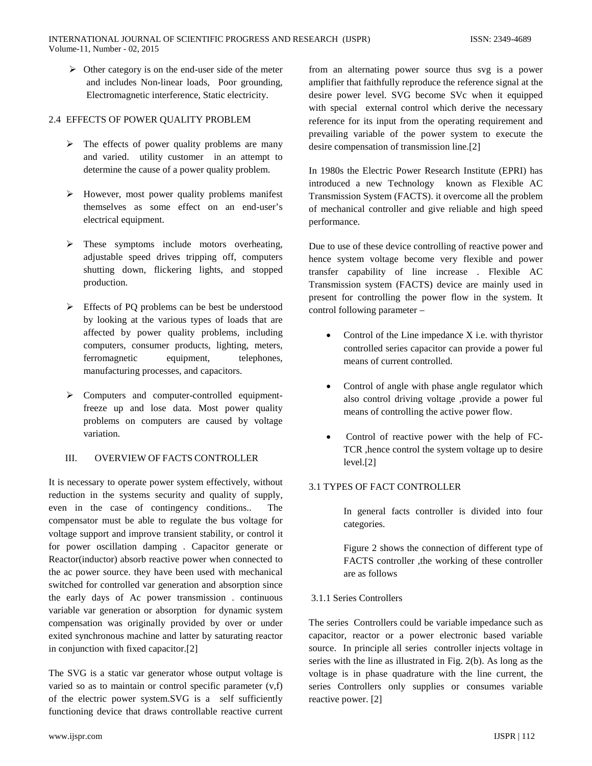$\triangleright$  Other category is on the end-user side of the meter and includes Non-linear loads, Poor grounding, Electromagnetic interference, Static electricity.

# 2.4 EFFECTS OF POWER QUALITY PROBLEM

- $\triangleright$  The effects of power quality problems are many and varied. utility customer in an attempt to determine the cause of a power quality problem.
- $\triangleright$  However, most power quality problems manifest themselves as some effect on an end-user's electrical equipment.
- $\triangleright$  These symptoms include motors overheating, adjustable speed drives tripping off, computers shutting down, flickering lights, and stopped production.
- Effects of PQ problems can be best be understood by looking at the various types of loads that are affected by power quality problems, including computers, consumer products, lighting, meters, ferromagnetic equipment, telephones, manufacturing processes, and capacitors.
- $\triangleright$  Computers and computer-controlled equipmentfreeze up and lose data. Most power quality problems on computers are caused by voltage variation.

## III. OVERVIEW OF FACTS CONTROLLER

It is necessary to operate power system effectively, without reduction in the systems security and quality of supply, even in the case of contingency conditions.. compensator must be able to regulate the bus voltage for voltage support and improve transient stability, or control it for power oscillation damping . Capacitor generate or Reactor(inductor) absorb reactive power when connected to the ac power source. they have been used with mechanical switched for controlled var generation and absorption since the early days of Ac power transmission . continuous variable var generation or absorption for dynamic system compensation was originally provided by over or under exited synchronous machine and latter by saturating reactor in conjunction with fixed capacitor.[2]

The SVG is a static var generator whose output voltage is varied so as to maintain or control specific parameter (v,f) of the electric power system.SVG is a self sufficiently functioning device that draws controllable reactive current from an alternating power source thus svg is a power amplifier that faithfully reproduce the reference signal at the desire power level. SVG become SVc when it equipped with special external control which derive the necessary reference for its input from the operating requirement and prevailing variable of the power system to execute the desire compensation of transmission line.[2]

In 1980s the Electric Power Research Institute (EPRI) has introduced a new Technology known as Flexible AC Transmission System (FACTS). it overcome all the problem of mechanical controller and give reliable and high speed performance.

Due to use of these device controlling of reactive power and hence system voltage become very flexible and power transfer capability of line increase . Flexible AC Transmission system (FACTS) device are mainly used in present for controlling the power flow in the system. It control following parameter –

- Control of the Line impedance X i.e. with thyristor controlled series capacitor can provide a power ful means of current controlled.
- Control of angle with phase angle regulator which also control driving voltage ,provide a power ful means of controlling the active power flow.
- Control of reactive power with the help of FC-TCR ,hence control the system voltage up to desire level.[2]

## 3.1 TYPES OF FACT CONTROLLER

In general facts controller is divided into four categories.

Figure 2 shows the connection of different type of FACTS controller ,the working of these controller are as follows

## 3.1.1 Series Controllers

The series Controllers could be variable impedance such as capacitor, reactor or a power electronic based variable source. In principle all series controller injects voltage in series with the line as illustrated in Fig. 2(b). As long as the voltage is in phase quadrature with the line current, the series Controllers only supplies or consumes variable reactive power. [2]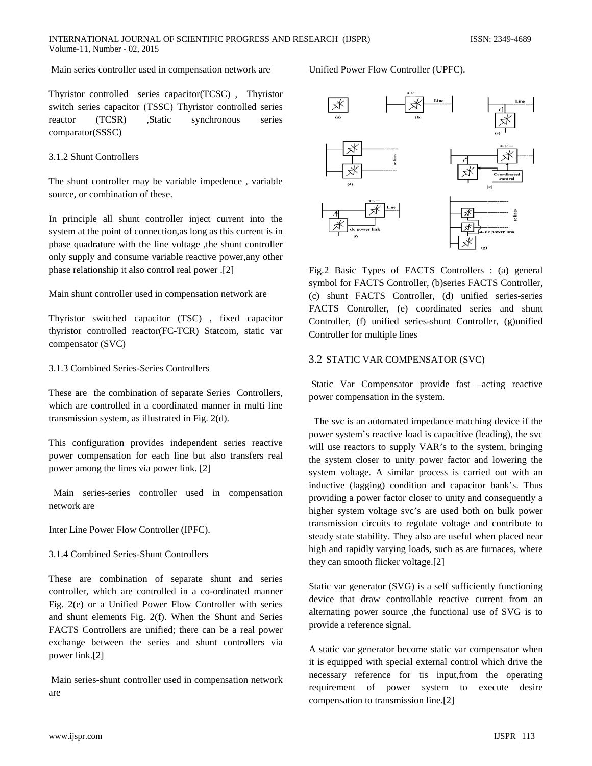#### INTERNATIONAL JOURNAL OF SCIENTIFIC PROGRESS AND RESEARCH (IJSPR) ISSN: 2349-4689 Volume-11, Number - 02, 2015

## Main series controller used in compensation network are

Thyristor controlled series capacitor(TCSC) , Thyristor switch series capacitor (TSSC) Thyristor controlled series reactor (TCSR) ,Static synchronous series comparator(SSSC)

# 3.1.2 Shunt Controllers

The shunt controller may be variable impedence , variable source, or combination of these.

In principle all shunt controller inject current into the system at the point of connection,as long as this current is in phase quadrature with the line voltage ,the shunt controller only supply and consume variable reactive power,any other phase relationship it also control real power .[2]

Main shunt controller used in compensation network are

Thyristor switched capacitor (TSC) , fixed capacitor thyristor controlled reactor(FC-TCR) Statcom, static var compensator (SVC)

## 3.1.3 Combined Series-Series Controllers

These are the combination of separate Series Controllers, which are controlled in a coordinated manner in multi line transmission system, as illustrated in Fig. 2(d).

This configuration provides independent series reactive power compensation for each line but also transfers real power among the lines via power link. [2]

 Main series-series controller used in compensation network are

Inter Line Power Flow Controller (IPFC).

#### 3.1.4 Combined Series-Shunt Controllers

These are combination of separate shunt and series controller, which are controlled in a co-ordinated manner Fig. 2(e) or a Unified Power Flow Controller with series and shunt elements Fig. 2(f). When the Shunt and Series FACTS Controllers are unified; there can be a real power exchange between the series and shunt controllers via power link.[2]

Main series-shunt controller used in compensation network are

## Unified Power Flow Controller (UPFC).



Fig.2 Basic Types of FACTS Controllers : (a) general symbol for FACTS Controller, (b)series FACTS Controller, (c) shunt FACTS Controller, (d) unified series-series FACTS Controller, (e) coordinated series and shunt Controller, (f) unified series-shunt Controller, (g)unified Controller for multiple lines

## 3.2 STATIC VAR COMPENSATOR (SVC)

Static Var Compensator provide fast –acting reactive power compensation in the system.

The svc is an automated impedance matching device if the power system's reactive load is capacitive (leading), the svc will use reactors to supply VAR's to the system, bringing the system closer to unity power factor and lowering the system voltage. A similar process is carried out with an inductive (lagging) condition and capacitor bank's. Thus providing a power factor closer to unity and consequently a higher system voltage svc's are used both on bulk power transmission circuits to regulate voltage and contribute to steady state stability. They also are useful when placed near high and rapidly varying loads, such as are furnaces, where they can smooth flicker voltage.[2]

Static var generator (SVG) is a self sufficiently functioning device that draw controllable reactive current from an alternating power source ,the functional use of SVG is to provide a reference signal.

A static var generator become static var compensator when it is equipped with special external control which drive the necessary reference for tis input,from the operating requirement of power system to execute desire compensation to transmission line.[2]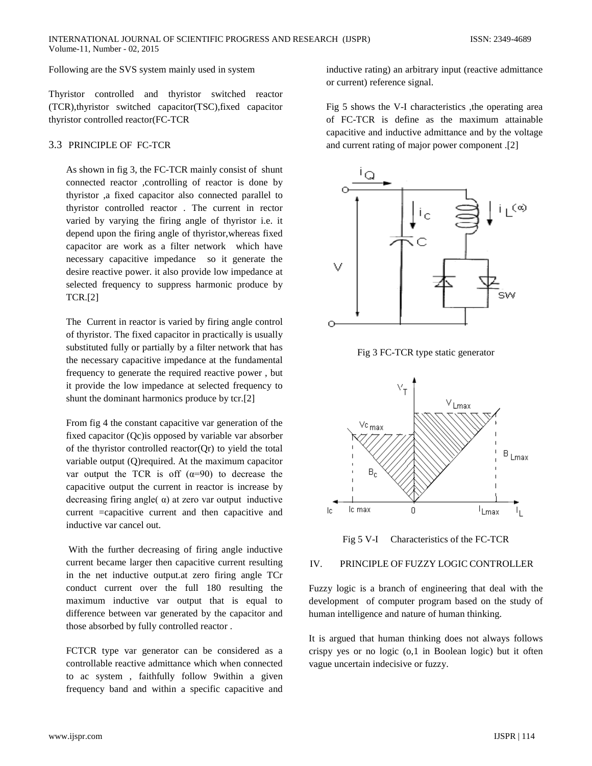Following are the SVS system mainly used in system

Thyristor controlled and thyristor switched reactor (TCR),thyristor switched capacitor(TSC),fixed capacitor thyristor controlled reactor(FC-TCR

## 3.3 PRINCIPLE OF FC-TCR

As shown in fig 3, the FC-TCR mainly consist of shunt connected reactor ,controlling of reactor is done by thyristor ,a fixed capacitor also connected parallel to thyristor controlled reactor . The current in rector varied by varying the firing angle of thyristor i.e. it depend upon the firing angle of thyristor,whereas fixed capacitor are work as a filter network which have necessary capacitive impedance so it generate the desire reactive power. it also provide low impedance at selected frequency to suppress harmonic produce by TCR.[2]

The Current in reactor is varied by firing angle control of thyristor. The fixed capacitor in practically is usually substituted fully or partially by a filter network that has the necessary capacitive impedance at the fundamental frequency to generate the required reactive power , but it provide the low impedance at selected frequency to shunt the dominant harmonics produce by tcr.[2]

From fig 4 the constant capacitive var generation of the fixed capacitor (Qc)is opposed by variable var absorber of the thyristor controlled reactor $(Qr)$  to yield the total variable output (Q)required. At the maximum capacitor var output the TCR is off  $(\alpha=90)$  to decrease the capacitive output the current in reactor is increase by decreasing firing angle( $\alpha$ ) at zero var output inductive current =capacitive current and then capacitive and inductive var cancel out.

With the further decreasing of firing angle inductive current became larger then capacitive current resulting in the net inductive output.at zero firing angle TCr conduct current over the full 180 resulting the maximum inductive var output that is equal to difference between var generated by the capacitor and those absorbed by fully controlled reactor .

FCTCR type var generator can be considered as a controllable reactive admittance which when connected to ac system , faithfully follow 9within a given frequency band and within a specific capacitive and

inductive rating) an arbitrary input (reactive admittance or current) reference signal.

Fig 5 shows the V-I characteristics ,the operating area of FC-TCR is define as the maximum attainable capacitive and inductive admittance and by the voltage and current rating of major power component .[2]



Fig 3 FC-TCR type static generator



Fig 5 V-I Characteristics of the FC-TCR

## IV. PRINCIPLE OF FUZZY LOGIC CONTROLLER

Fuzzy logic is a branch of engineering that deal with the development of computer program based on the study of human intelligence and nature of human thinking.

It is argued that human thinking does not always follows crispy yes or no logic (o,1 in Boolean logic) but it often vague uncertain indecisive or fuzzy.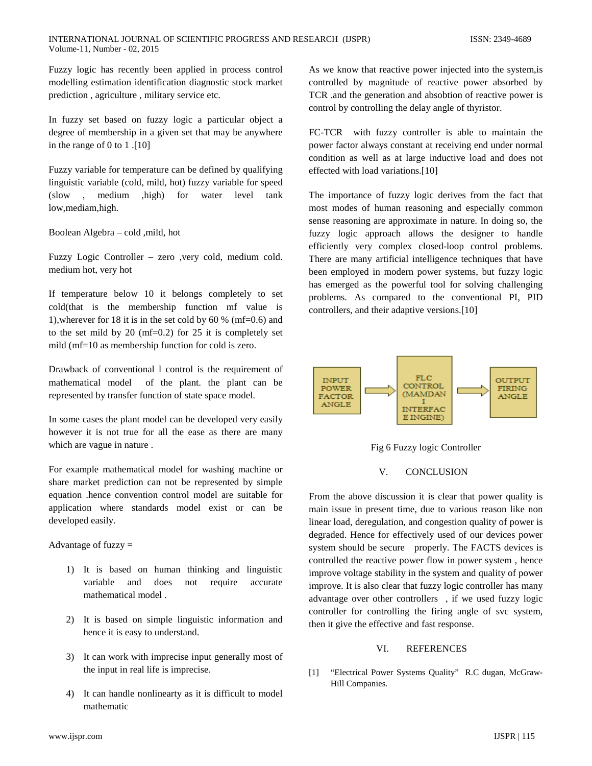Fuzzy logic has recently been applied in process control modelling estimation identification diagnostic stock market prediction , agriculture , military service etc.

In fuzzy set based on fuzzy logic a particular object a degree of membership in a given set that may be anywhere in the range of 0 to 1 .[10]

Fuzzy variable for temperature can be defined by qualifying linguistic variable (cold, mild, hot) fuzzy variable for speed (slow , medium ,high) for water level tank low,mediam,high.

Boolean Algebra – cold ,mild, hot

Fuzzy Logic Controller – zero ,very cold, medium cold. medium hot, very hot

If temperature below 10 it belongs completely to set cold(that is the membership function mf value is 1),wherever for 18 it is in the set cold by 60 % (mf=0.6) and to the set mild by 20 ( $mf=0.2$ ) for 25 it is completely set mild (mf=10 as membership function for cold is zero.

Drawback of conventional l control is the requirement of mathematical model of the plant. the plant can be represented by transfer function of state space model.

In some cases the plant model can be developed very easily however it is not true for all the ease as there are many which are vague in nature .

For example mathematical model for washing machine or share market prediction can not be represented by simple equation .hence convention control model are suitable for application where standards model exist or can be developed easily.

Advantage of fuzzy  $=$ 

- 1) It is based on human thinking and linguistic variable and does not require accurate mathematical model .
- 2) It is based on simple linguistic information and hence it is easy to understand.
- 3) It can work with imprecise input generally most of the input in real life is imprecise.
- 4) It can handle nonlinearty as it is difficult to model mathematic

As we know that reactive power injected into the system,is controlled by magnitude of reactive power absorbed by TCR .and the generation and absobtion of reactive power is control by controlling the delay angle of thyristor.

FC-TCR with fuzzy controller is able to maintain the power factor always constant at receiving end under normal condition as well as at large inductive load and does not effected with load variations.[10]

The importance of fuzzy logic derives from the fact that most modes of human reasoning and especially common sense reasoning are approximate in nature. In doing so, the fuzzy logic approach allows the designer to handle efficiently very complex closed-loop control problems. There are many artificial intelligence techniques that have been employed in modern power systems, but fuzzy logic has emerged as the powerful tool for solving challenging problems. As compared to the conventional PI, PID controllers, and their adaptive versions.[10]



Fig 6 Fuzzy logic Controller

## V. CONCLUSION

From the above discussion it is clear that power quality is main issue in present time, due to various reason like non linear load, deregulation, and congestion quality of power is degraded. Hence for effectively used of our devices power system should be secure properly. The FACTS devices is controlled the reactive power flow in power system , hence improve voltage stability in the system and quality of power improve. It is also clear that fuzzy logic controller has many advantage over other controllers , if we used fuzzy logic controller for controlling the firing angle of svc system, then it give the effective and fast response.

## VI. REFERENCES

[1] "Electrical Power Systems Quality" R.C dugan, McGraw-Hill Companies.